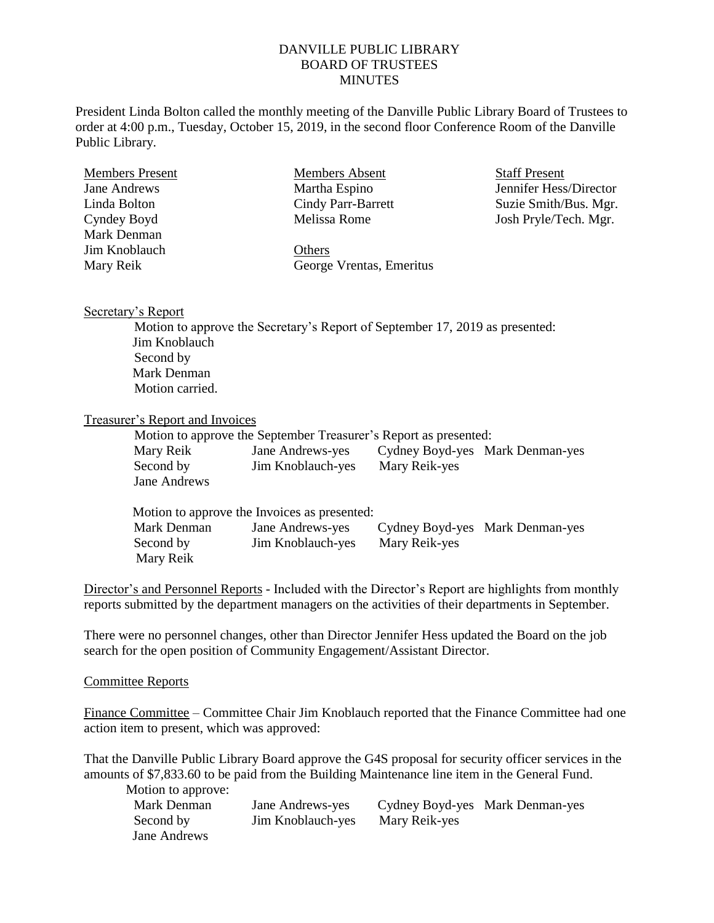## DANVILLE PUBLIC LIBRARY BOARD OF TRUSTEES **MINUTES**

President Linda Bolton called the monthly meeting of the Danville Public Library Board of Trustees to order at 4:00 p.m., Tuesday, October 15, 2019, in the second floor Conference Room of the Danville Public Library.

| <b>Members Present</b> | Members Absent           | <b>Staff Present</b>   |  |
|------------------------|--------------------------|------------------------|--|
| Jane Andrews           | Martha Espino            | Jennifer Hess/Director |  |
| Linda Bolton           | Cindy Parr-Barrett       | Suzie Smith/Bus. Mgr.  |  |
| Cyndey Boyd            | Melissa Rome             | Josh Pryle/Tech. Mgr.  |  |
| Mark Denman            |                          |                        |  |
| Jim Knoblauch          | Others                   |                        |  |
| Mary Reik              | George Vrentas, Emeritus |                        |  |
|                        |                          |                        |  |

## Secretary's Report

Motion to approve the Secretary's Report of September 17, 2019 as presented: Jim Knoblauch Second by Mark Denman Motion carried.

## Treasurer's Report and Invoices

| Motion to approve the September Treasurer's Report as presented: |                   |               |                                 |  |  |
|------------------------------------------------------------------|-------------------|---------------|---------------------------------|--|--|
| Mary Reik                                                        | Jane Andrews-yes  |               | Cydney Boyd-yes Mark Denman-yes |  |  |
| Second by                                                        | Jim Knoblauch-yes | Mary Reik-yes |                                 |  |  |
| Jane Andrews                                                     |                   |               |                                 |  |  |

| Motion to approve the Invoices as presented: |                   |               |                                 |  |  |  |
|----------------------------------------------|-------------------|---------------|---------------------------------|--|--|--|
| Mark Denman                                  | Jane Andrews-yes  |               | Cydney Boyd-yes Mark Denman-yes |  |  |  |
| Second by                                    | Jim Knoblauch-yes | Mary Reik-yes |                                 |  |  |  |
| Mary Reik                                    |                   |               |                                 |  |  |  |

Director's and Personnel Reports - Included with the Director's Report are highlights from monthly reports submitted by the department managers on the activities of their departments in September.

There were no personnel changes, other than Director Jennifer Hess updated the Board on the job search for the open position of Community Engagement/Assistant Director.

## Committee Reports

Finance Committee – Committee Chair Jim Knoblauch reported that the Finance Committee had one action item to present, which was approved:

That the Danville Public Library Board approve the G4S proposal for security officer services in the amounts of \$7,833.60 to be paid from the Building Maintenance line item in the General Fund.

Motion to approve:

| Mark Denman         | Jane Andrews-yes  |               | Cydney Boyd-yes Mark Denman-yes |
|---------------------|-------------------|---------------|---------------------------------|
| Second by           | Jim Knoblauch-yes | Mary Reik-yes |                                 |
| <b>Jane Andrews</b> |                   |               |                                 |